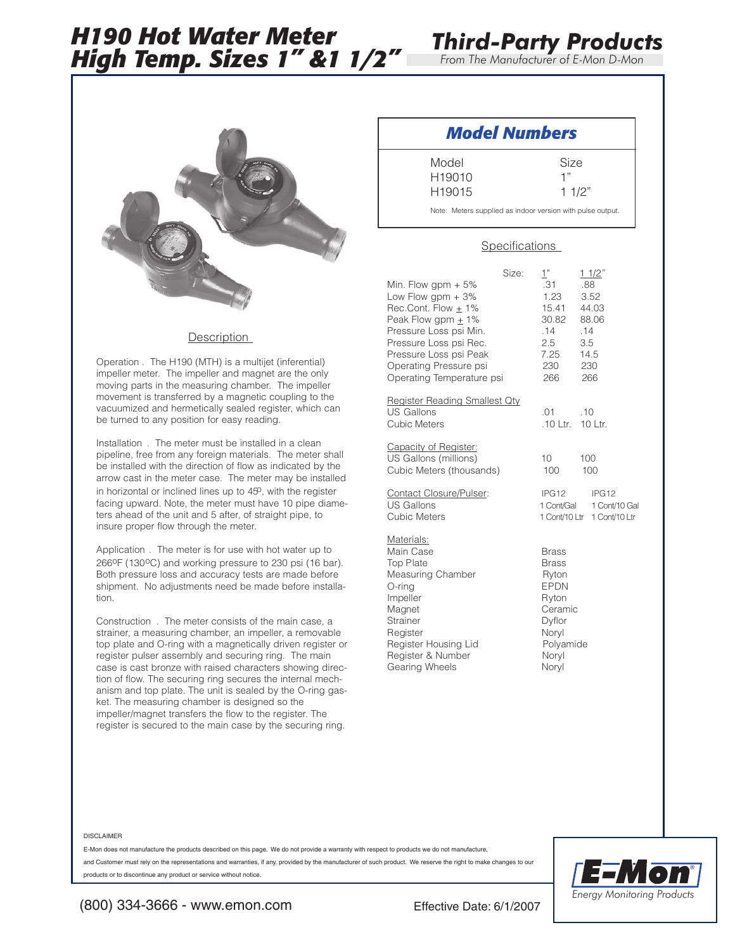# *H190 Hot Water Meter High Temp. Sizes 1" &1 1/2"*



*From The Manufacturer of E-Mon D-Mon*



#### **Description**

Operation . The H190 (MTH) is a multijet (inferential) impeller meter. The impeller and magnet are the only moving parts in the measuring chamber. The impeller movement is transferred by a magnetic coupling to the vacuumized and hermetically sealed register, which can be turned to any position for easy reading.

Installation . The meter must be installed in a clean pipeline, free from any foreign materials. The meter shall be installed with the direction of flow as indicated by the arrow cast in the meter case. The meter may be installed in horizontal or inclined lines up to  $45^{\circ}$ , with the register facing upward. Note, the meter must have 10 pipe diameters ahead of the unit and 5 after, of straight pipe, to insure proper flow through the meter.

Application . The meter is for use with hot water up to 266<sup>o</sup>F (130<sup>o</sup>C) and working pressure to 230 psi (16 bar). Both pressure loss and accuracy tests are made before shipment. No adjustments need be made before installation.

Construction . The meter consists of the main case, a strainer, a measuring chamber, an impeller, a removable top plate and O-ring with a magnetically driven register or register pulser assembly and securing ring. The main case is cast bronze with raised characters showing direction of flow. The securing ring secures the internal mechanism and top plate. The unit is sealed by the O-ring gasket. The measuring chamber is designed so the impeller/magnet transfers the flow to the register. The register is secured to the main case by the securing ring.

### *Model Numbers*

Model Size H19010 1"

H19015 1 1/2"

Note: Meters supplied as indoor version with pulse output.

#### **Specifications**

|                                                                                                                                                                                                                                     | Size: | 1"                                                                                                                         |                                  | 11/2"                                                            |
|-------------------------------------------------------------------------------------------------------------------------------------------------------------------------------------------------------------------------------------|-------|----------------------------------------------------------------------------------------------------------------------------|----------------------------------|------------------------------------------------------------------|
| Min. Flow gpm $+5\%$<br>Low Flow gpm + 3%<br>Rec.Cont. Flow $\pm$ 1%<br>Peak Flow gpm $\pm$ 1%<br>Pressure Loss psi Min.<br>Pressure Loss psi Rec.<br>Pressure Loss psi Peak<br>Operating Pressure psi<br>Operating Temperature psi |       | .31<br>1.23<br>15.41 44.03<br>30.82 88.06<br>.14<br>2.5<br>7.25<br>230<br>266                                              | .88<br>.14<br>3.5<br>14.5<br>230 | 3.52<br>266                                                      |
| Register Reading Smallest Qty<br><b>US Gallons</b><br>Cubic Meters                                                                                                                                                                  |       | .01<br>.10 Ltr. 10 Ltr.                                                                                                    | .10                              |                                                                  |
| Capacity of Register:<br>US Gallons (millions)<br>Cubic Meters (thousands)                                                                                                                                                          |       | 10 <sup>°</sup><br>100                                                                                                     | 100                              | 100                                                              |
| Contact Closure/Pulser:<br><b>US Gallons</b><br>Cubic Meters                                                                                                                                                                        |       | IPG <sub>12</sub>                                                                                                          |                                  | IPG12<br>1 Cont/Gal 1 Cont/10 Gal<br>1 Cont/10 Ltr 1 Cont/10 Ltr |
| Materials:<br>Main Case<br><b>Top Plate</b><br>Measuring Chamber<br>O-ring<br>Impeller<br>Magnet<br><b>Strainer</b><br>Register<br>Register Housing Lid<br>Register & Number<br>Gearing Wheels                                      |       | <b>Brass</b><br><b>Brass</b><br>Ryton<br><b>EPDN</b><br>Ryton<br>Ceramic<br>Dyflor<br>Noryl<br>Polyamide<br>Noryl<br>Noryl |                                  |                                                                  |

#### DISCLAIMER

E-Mon does not manufacture the products described on this page. We do not provide a warranty with respect to products we do not manufacture,

and Customer must rely on the representations and warranties, if any, provided by the manufacturer of such product. We reserve the right to make changes to our products or to discontinue any product or service without notice.



(800) 334-3666 - www.emon.com Effective Date: 6/1/2007